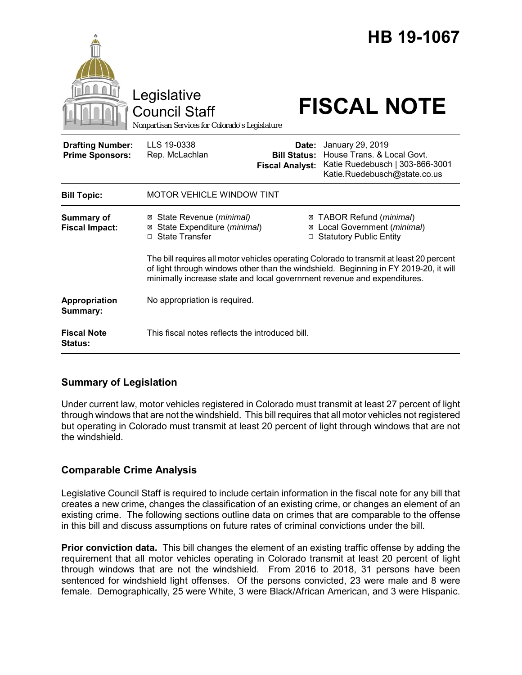

## **Summary of Legislation**

Under current law, motor vehicles registered in Colorado must transmit at least 27 percent of light through windows that are not the windshield. This bill requires that all motor vehicles not registered but operating in Colorado must transmit at least 20 percent of light through windows that are not the windshield.

# **Comparable Crime Analysis**

Legislative Council Staff is required to include certain information in the fiscal note for any bill that creates a new crime, changes the classification of an existing crime, or changes an element of an existing crime. The following sections outline data on crimes that are comparable to the offense in this bill and discuss assumptions on future rates of criminal convictions under the bill.

**Prior conviction data.** This bill changes the element of an existing traffic offense by adding the requirement that all motor vehicles operating in Colorado transmit at least 20 percent of light through windows that are not the windshield. From 2016 to 2018, 31 persons have been sentenced for windshield light offenses. Of the persons convicted, 23 were male and 8 were female. Demographically, 25 were White, 3 were Black/African American, and 3 were Hispanic.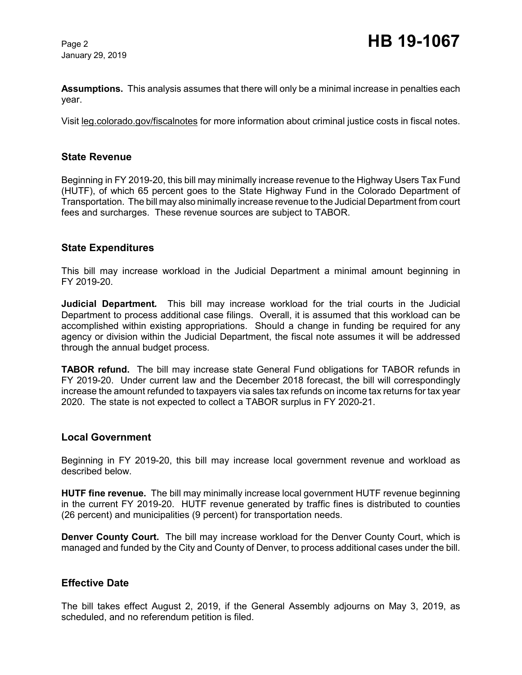January 29, 2019

**Assumptions.** This analysis assumes that there will only be a minimal increase in penalties each year.

Visit leg.colorado.gov/fiscalnotes for more information about criminal justice costs in fiscal notes.

#### **State Revenue**

Beginning in FY 2019-20, this bill may minimally increase revenue to the Highway Users Tax Fund (HUTF), of which 65 percent goes to the State Highway Fund in the Colorado Department of Transportation. The bill may also minimally increase revenue to the Judicial Department from court fees and surcharges. These revenue sources are subject to TABOR.

#### **State Expenditures**

This bill may increase workload in the Judicial Department a minimal amount beginning in FY 2019-20.

**Judicial Department***.* This bill may increase workload for the trial courts in the Judicial Department to process additional case filings. Overall, it is assumed that this workload can be accomplished within existing appropriations. Should a change in funding be required for any agency or division within the Judicial Department, the fiscal note assumes it will be addressed through the annual budget process.

**TABOR refund.** The bill may increase state General Fund obligations for TABOR refunds in FY 2019-20. Under current law and the December 2018 forecast, the bill will correspondingly increase the amount refunded to taxpayers via sales tax refunds on income tax returns for tax year 2020. The state is not expected to collect a TABOR surplus in FY 2020-21.

#### **Local Government**

Beginning in FY 2019-20, this bill may increase local government revenue and workload as described below.

**HUTF fine revenue.** The bill may minimally increase local government HUTF revenue beginning in the current FY 2019-20. HUTF revenue generated by traffic fines is distributed to counties (26 percent) and municipalities (9 percent) for transportation needs.

**Denver County Court.** The bill may increase workload for the Denver County Court, which is managed and funded by the City and County of Denver, to process additional cases under the bill.

#### **Effective Date**

The bill takes effect August 2, 2019, if the General Assembly adjourns on May 3, 2019, as scheduled, and no referendum petition is filed.